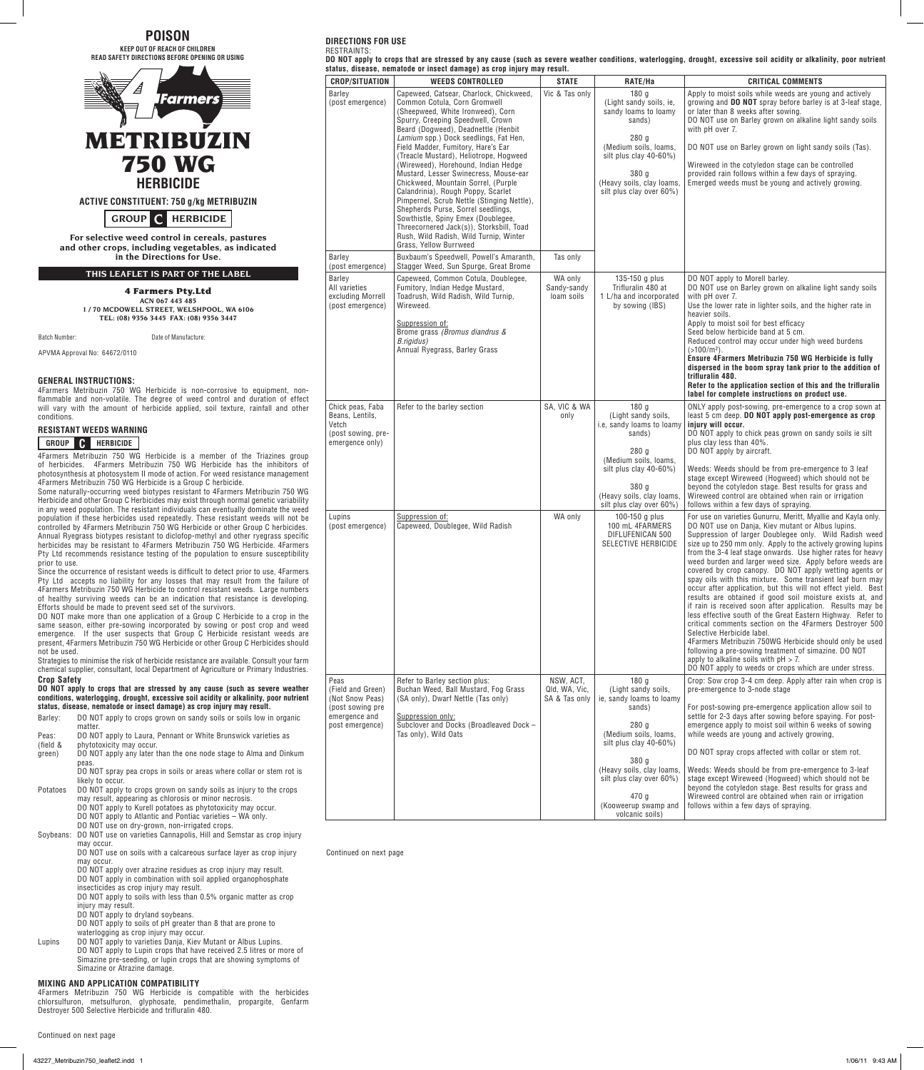**POISON KEEP OUT OF REACH OF CHILDREN READ SAFETY DIRECTIONS BEFORE OPENING OR USING**



 **GROUP C HERBICIDE**

**For selective weed control in cereals, pastures and other crops, including vegetables, as indicated in the Directions for Use.**

**THIS LEAFLET IS PART OF THE LABEL**

4 Farmers Pty.Ltd **ACN 067 443 485 1 / 70 McDowell Street, Welshpool, WA 6106 Tel: (08) 9356 3445 Fax: (08) 9356 3447**

Batch Number: Date of Manufacture:

APVMA Approval No: 64672/0110

## **GENERAL INSTRUCTIONS:**

4Farmers Metribuzin 750 WG Herbicide is non-corrosive to equipment, nonflammable and non-volatile. The degree of weed control and duration of effect will vary with the amount of herbicide applied, soil texture, rainfall and other conditions.

| RESISTANT WEEDS WARNING |  |
|-------------------------|--|
|-------------------------|--|

## **GROUP C HERBICIDE**

4Farmers Metribuzin 750 WG Herbicide is a member of the Triazines group of herbicides. 4Farmers Metribuzin 750 WG Herbicide has the inhibitors of photosynthesis at photosystem II mode of action. For weed resistance management 4Farmers Metribuzin 750 WG Herbicide is a Group C herbicide.

Some naturally-occurring weed biotypes resistant to 4Farmers Metribuzin 750 WG Herbicide and other Group C Herbicides may exist through normal genetic variability in any weed population. The resistant individuals can eventually dominate the weed population if these herbicides used repeatedly. These resistant weeds will not be controlled by 4Farmers Metribuzin 750 WG Herbicide or other Group C herbicides. Annual Ryegrass biotypes resistant to diclofop-methyl and other ryegrass specific herbicides may be resistant to 4Farmers Metribuzin 750 WG Herbicide. 4Farmers Pty Ltd recommends resistance testing of the population to ensure susceptibility prior to use.

Since the occurrence of resistant weeds is difficult to detect prior to use, 4Farmers Pty Ltd accepts no liability for any losses that may result from the failure of 4Farmers Metribuzin 750 WG Herbicide to control resistant weeds. Large numbers of healthy surviving weeds can be an indication that resistance is developing. Efforts should be made to prevent seed set of the survivors.

DO NOT make more than one application of a Group C Herbicide to a crop in the same season, either pre-sowing incorporated by sowing or post crop and weed emergence. If the user suspects that Group C Herbicide resistant weeds are present, 4Farmers Metribuzin 750 WG Herbicide or other Group C Herbicides should not be used.

Strategies to minimise the risk of herbicide resistance are available. Consult your farm chemical supplier, consultant, local Department of Agriculture or Primary Industries. **Crop Safety**

**DO NOT apply to crops that are stressed by any cause (such as severe weather conditions, waterlogging, drought, excessive soil acidity or alkalinity, poor nutrient status, disease, nematode or insect damage) as crop injury may result.**

Barley: DO NOT apply to crops grown on sandy soils or soils low in organic matter

Peas: DO NOT apply to Laura, Pennant or White Brunswick varieties as

(field & phytotoxicity may occur.

green) DO NOT apply any later than the one node stage to Alma and Dinkum peas DO NOT spray pea crops in soils or areas where collar or stem rot is

likely to occur. Potatoes DO NOT apply to crops grown on sandy soils as injury to the crops

may result, appearing as chlorosis or minor necrosis.

DO NOT apply to Kurell potatoes as phytotoxicity may occur. DO NOT apply to Atlantic and Pontiac varieties – WA only.

DO NOT use on dry-grown, non-irrigated crops.

Soybeans: DO NOT use on varieties Cannapolis, Hill and Semstar as crop injury may occur.

DO NOT use on soils with a calcareous surface layer as crop injury

may occur. DO NOT apply over atrazine residues as crop injury may result.

DO NOT apply in combination with soil applied organophosphate

insecticides as crop injury may result. DO NOT apply to soils with less than 0.5% organic matter as crop

injury may result.

DO NOT apply to dryland soybeans.

DO NOT apply to soils of pH greater than 8 that are prone to

waterlogging as crop injury may occur.

Lupins DO NOT apply to varieties Danja, Kiev Mutant or Albus Lupins. DO NOT apply to Lupin crops that have received 2.5 litres or more of Simazine pre-seeding, or lupin crops that are showing symptoms of Simazine or Atrazine damage.

## **MIXING AND APPLICATION COMPATIBILITY**

4Farmers Metribuzin 750 WG Herbicide is compatible with the herbicides chlorsulfuron, metsulfuron, glyphosate, pendimethalin, propargite, Genfarm Destroyer 500 Selective Herbicide and trifluralin 480.

| Continued on next page |  |  |  |  |
|------------------------|--|--|--|--|
|------------------------|--|--|--|--|

|            | DIRECTIONS FOR USE |  |  |
|------------|--------------------|--|--|
| ---------- |                    |  |  |

**RESTRAINTS DO NOT apply to crops that are stressed by any cause (such as severe weather conditions, waterlogging, drought, excessive soil acidity or alkalinity, poor nutrient status, disease, nematode or insect damage) as crop injury may result. CROP/SITUATION WEEDS CONTROLLED STATE RATE/Ha CRITICAL COMMENTS**

| <b>CROP/SITUATION</b>                                                                                | <b>WEEDS CONTROLLED</b>                                                                                                                                                                                                                                                                                                                                                                                                                                                                                                      | <b>STATE</b>                                | RATE/Ha                                                                                                                                                                                                                                           | <b>CRITICAL COMMENTS</b>                                                                                                                                                                                                                                                                                                                                                                                                                                                                                                                                                                                                                                                                                                                                                                                                                                                                                                                                                                                                                                                   |
|------------------------------------------------------------------------------------------------------|------------------------------------------------------------------------------------------------------------------------------------------------------------------------------------------------------------------------------------------------------------------------------------------------------------------------------------------------------------------------------------------------------------------------------------------------------------------------------------------------------------------------------|---------------------------------------------|---------------------------------------------------------------------------------------------------------------------------------------------------------------------------------------------------------------------------------------------------|----------------------------------------------------------------------------------------------------------------------------------------------------------------------------------------------------------------------------------------------------------------------------------------------------------------------------------------------------------------------------------------------------------------------------------------------------------------------------------------------------------------------------------------------------------------------------------------------------------------------------------------------------------------------------------------------------------------------------------------------------------------------------------------------------------------------------------------------------------------------------------------------------------------------------------------------------------------------------------------------------------------------------------------------------------------------------|
| Barley<br>(post emergence)                                                                           | Capeweed, Catsear, Charlock, Chickweed,<br>Common Cotula, Corn Gromwell<br>(Sheepweed, White Ironweed), Corn<br>Spurry, Creeping Speedwell, Crown<br>Beard (Dogweed), Deadnettle (Henbit<br>Lamium spp.) Dock seedlings, Fat Hen,<br>Field Madder, Fumitory, Hare's Ear<br>(Treacle Mustard), Heliotrope, Hogweed<br>(Wireweed), Horehound, Indian Hedge<br>Mustard, Lesser Swinecress, Mouse-ear<br>Chickweed, Mountain Sorrel, (Purple<br>Calandrinia), Rough Poppy, Scarlet<br>Pimpernel, Scrub Nettle (Stinging Nettle), | Vic & Tas only                              | 180 <sub>g</sub><br>(Light sandy soils, ie,<br>sandy loams to loamy<br>sands)<br>280q<br>(Medium soils, loams,<br>silt plus clay 40-60%)<br>380 g<br>(Heavy soils, clay loams,<br>silt plus clay over 60%)                                        | Apply to moist soils while weeds are young and actively<br>growing and <b>DO NOT</b> spray before barley is at 3-leaf stage,<br>or later than 8 weeks after sowing.<br>DO NOT use on Barley grown on alkaline light sandy soils<br>with pH over 7.<br>DO NOT use on Barley grown on light sandy soils (Tas).<br>Wireweed in the cotyledon stage can be controlled<br>provided rain follows within a few days of spraying.<br>Emerged weeds must be young and actively growing.                                                                                                                                                                                                                                                                                                                                                                                                                                                                                                                                                                                             |
| Barley                                                                                               | Shepherds Purse, Sorrel seedlings,<br>Sowthistle, Spiny Emex (Doublegee,<br>Threecornered Jack(s)), Storksbill, Toad<br>Rush, Wild Radish, Wild Turnip, Winter<br>Grass, Yellow Burrweed<br>Buxbaum's Speedwell, Powell's Amaranth,                                                                                                                                                                                                                                                                                          | Tas only                                    |                                                                                                                                                                                                                                                   |                                                                                                                                                                                                                                                                                                                                                                                                                                                                                                                                                                                                                                                                                                                                                                                                                                                                                                                                                                                                                                                                            |
| (post emergence)                                                                                     | Stagger Weed, Sun Spurge, Great Brome                                                                                                                                                                                                                                                                                                                                                                                                                                                                                        |                                             |                                                                                                                                                                                                                                                   |                                                                                                                                                                                                                                                                                                                                                                                                                                                                                                                                                                                                                                                                                                                                                                                                                                                                                                                                                                                                                                                                            |
| Barley<br>All varieties<br>excluding Morrell<br>(post emergence)                                     | Capeweed, Common Cotula, Doublegee,<br>Fumitory, Indian Hedge Mustard,<br>Toadrush, Wild Radish, Wild Turnip,<br>Wireweed.<br>Suppression of:<br>Brome grass (Bromus diandrus &<br>B.rigidus)<br>Annual Ryegrass, Barley Grass                                                                                                                                                                                                                                                                                               | WA only<br>Sandy-sandy<br>loam soils        | $135-150$ g plus<br>Trifluralin 480 at<br>1 L/ha and incorporated<br>by sowing (IBS)                                                                                                                                                              | DO NOT apply to Morell barley.<br>DO NOT use on Barley grown on alkaline light sandy soils<br>with pH over 7.<br>Use the lower rate in lighter soils, and the higher rate in<br>heavier soils.<br>Apply to moist soil for best efficacy<br>Seed below herbicide band at 5 cm.<br>Reduced control may occur under high weed burdens<br>$($ >100/m <sup>2</sup> ).<br>Ensure 4Farmers Metribuzin 750 WG Herbicide is fully<br>dispersed in the boom spray tank prior to the addition of<br>trifluralin 480.<br>Refer to the application section of this and the trifluralin<br>label for complete instructions on product use.                                                                                                                                                                                                                                                                                                                                                                                                                                               |
| Chick peas, Faba<br>Beans, Lentils,<br>Vetch<br>(post sowing, pre-<br>emergence only)                | Refer to the barley section                                                                                                                                                                                                                                                                                                                                                                                                                                                                                                  | SA, VIC & WA<br>only                        | 180q<br>(Light sandy soils,<br>i.e, sandy loams to loamy<br>sands)<br>280q<br>(Medium soils, loams,<br>silt plus clay 40-60%)<br>380 g<br>(Heavy soils, clay loams,<br>silt plus clay over 60%)                                                   | ONLY apply post-sowing, pre-emergence to a crop sown at<br>least 5 cm deep. DO NOT apply post-emergence as crop<br>injury will occur.<br>DO NOT apply to chick peas grown on sandy soils ie silt<br>plus clay less than 40%.<br>DO NOT apply by aircraft.<br>Weeds: Weeds should be from pre-emergence to 3 leaf<br>stage except Wireweed (Hogweed) which should not be<br>beyond the cotyledon stage. Best results for grass and<br>Wireweed control are obtained when rain or irrigation<br>follows within a few days of spraying.                                                                                                                                                                                                                                                                                                                                                                                                                                                                                                                                       |
| Lupins<br>(post emergence)                                                                           | Suppression of:<br>Capeweed, Doublegee, Wild Radish                                                                                                                                                                                                                                                                                                                                                                                                                                                                          | WA only                                     | 100-150 g plus<br>100 mL 4FARMERS<br>DIFLUFENICAN 500<br><b>SELECTIVE HERBICIDE</b>                                                                                                                                                               | For use on varieties Gunurru, Meritt, Myallie and Kayla only.<br>DO NOT use on Danja, Kiev mutant or Albus lupins.<br>Suppression of larger Doublegee only. Wild Radish weed<br>size up to 250 mm only. Apply to the actively growing lupins<br>from the 3-4 leaf stage onwards. Use higher rates for heavy<br>weed burden and larger weed size. Apply before weeds are<br>covered by crop canopy. DO NOT apply wetting agents or<br>spay oils with this mixture. Some transient leaf burn may<br>occur after application, but this will not effect yield. Best<br>results are obtained if good soil moisture exists at, and<br>if rain is received soon after application. Results may be<br>less effective south of the Great Eastern Highway. Refer to<br>critical comments section on the 4Farmers Destroyer 500<br>Selective Herbicide label.<br>4Farmers Metribuzin 750WG Herbicide should only be used<br>following a pre-sowing treatment of simazine. DO NOT<br>apply to alkaline soils with $pH > 7$ .<br>DO NOT apply to weeds or crops which are under stress. |
| Peas<br>(Field and Green)<br>(Not Snow Peas)<br>(post sowing pre<br>emergence and<br>post emergence) | Refer to Barley section plus:<br>Buchan Weed, Ball Mustard, Fog Grass<br>(SA only), Dwarf Nettle (Tas only)<br>Suppression only:<br>Subclover and Docks (Broadleaved Dock -<br>Tas only), Wild Oats                                                                                                                                                                                                                                                                                                                          | NSW, ACT,<br>Qld, WA, Vic,<br>SA & Tas only | 180q<br>(Light sandy soils,<br>ie, sandy loams to loamy<br>sands)<br>280q<br>(Medium soils, loams,<br>silt plus clay 40-60%)<br>380q<br>(Heavy soils, clay loams,<br>silt plus clay over 60%)<br>470 g<br>(Kooweerup swamp and<br>volcanic soils) | Crop: Sow crop 3-4 cm deep. Apply after rain when crop is<br>pre-emergence to 3-node stage<br>For post-sowing pre-emergence application allow soil to<br>settle for 2-3 days after sowing before spaying. For post-<br>emergence apply to moist soil within 6 weeks of sowing<br>while weeds are young and actively growing,<br>DO NOT spray crops affected with collar or stem rot.<br>Weeds: Weeds should be from pre-emergence to 3-leaf<br>stage except Wireweed (Hogweed) which should not be<br>beyond the cotyledon stage. Best results for grass and<br>Wireweed control are obtained when rain or irrigation<br>follows within a few days of spraying.                                                                                                                                                                                                                                                                                                                                                                                                            |

Continued on next page